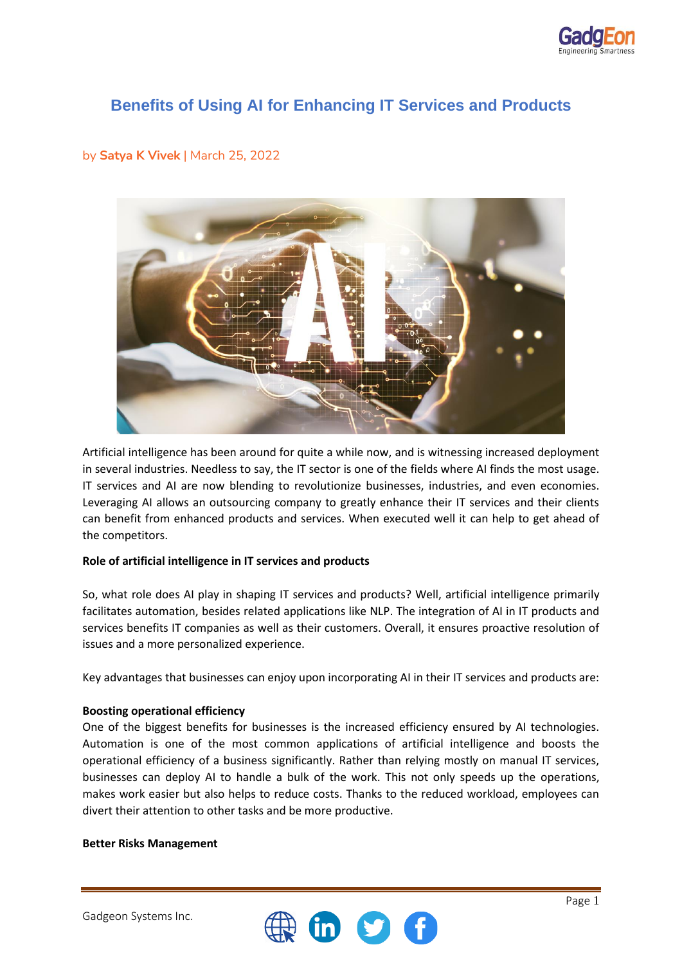

# **Benefits of Using AI for Enhancing IT Services and Products**

## by **Satya K Vivek** | March 25, 2022



Artificial intelligence has been around for quite a while now, and is witnessing increased deployment in several industries. Needless to say, the IT sector is one of the fields where AI finds the most usage. IT services and AI are now blending to revolutionize businesses, industries, and even economies. Leveraging AI allows an outsourcing company to greatly enhance their IT services and their clients can benefit from enhanced products and services. When executed well it can help to get ahead of the competitors.

## **Role of artificial intelligence in IT services and products**

So, what role does AI play in shaping IT services and products? Well, artificial intelligence primarily facilitates automation, besides related applications like NLP. The integration of AI in IT products and services benefits IT companies as well as their customers. Overall, it ensures proactive resolution of issues and a more personalized experience.

Key advantages that businesses can enjoy upon incorporating AI in their IT services and products are:

## **Boosting operational efficiency**

One of the biggest benefits for businesses is the increased efficiency ensured by AI technologies. Automation is one of the most common applications of artificial intelligence and boosts the operational efficiency of a business significantly. Rather than relying mostly on manual IT services, businesses can deploy AI to handle a bulk of the work. This not only speeds up the operations, makes work easier but also helps to reduce costs. Thanks to the reduced workload, employees can divert their attention to other tasks and be more productive.

#### **Better Risks Management**